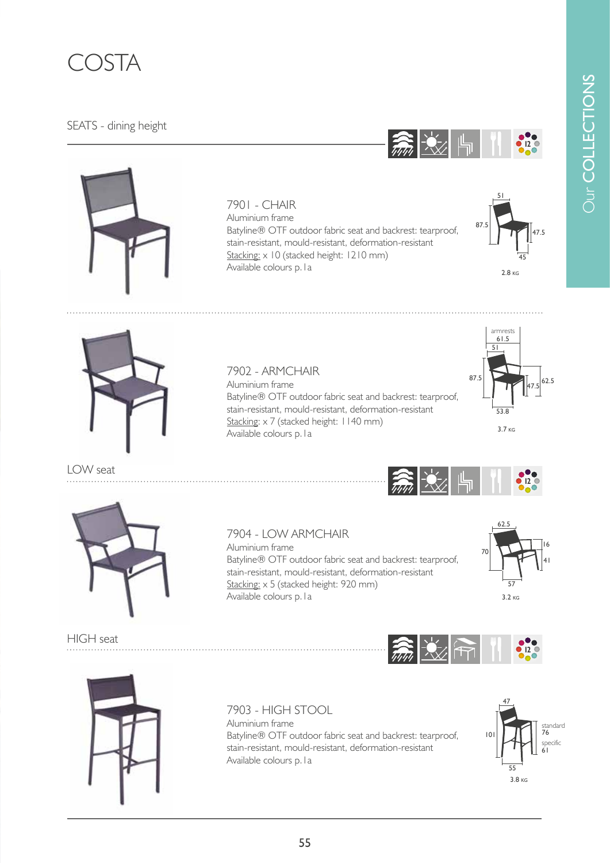

## SEATS - dining height



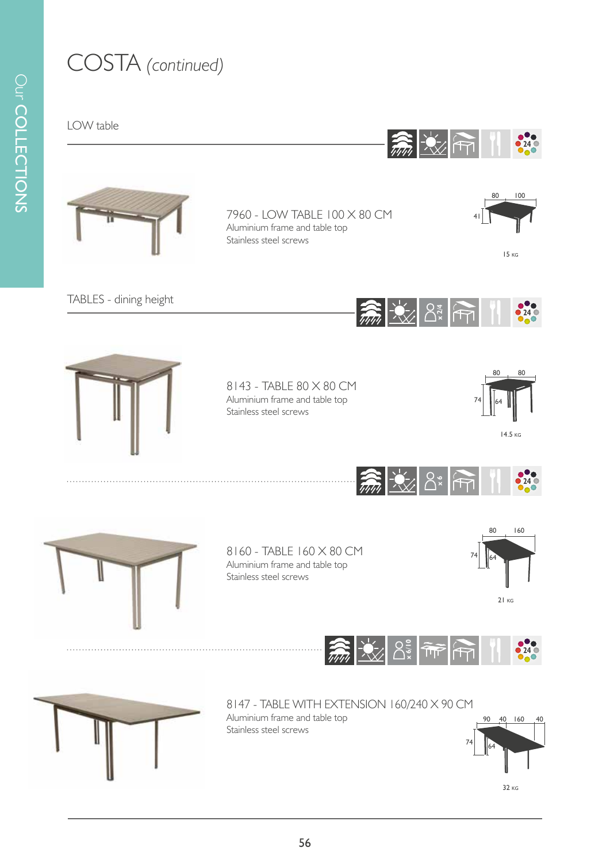## COSTA *(continued)*